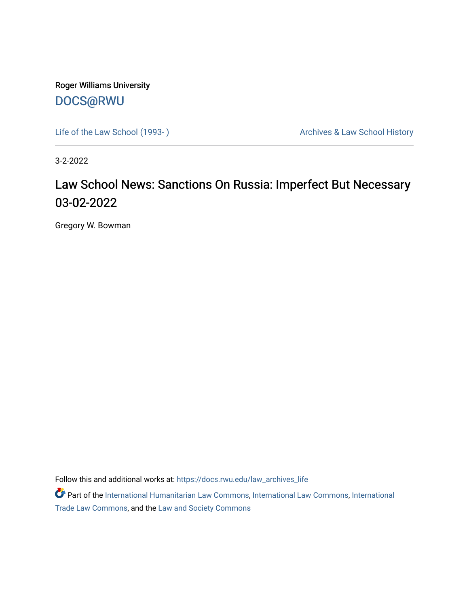Roger Williams University [DOCS@RWU](https://docs.rwu.edu/)

Life of the Law School (1993-) <br>
Archives & Law School History

3-2-2022

## Law School News: Sanctions On Russia: Imperfect But Necessary 03-02-2022

Gregory W. Bowman

Follow this and additional works at: [https://docs.rwu.edu/law\\_archives\\_life](https://docs.rwu.edu/law_archives_life?utm_source=docs.rwu.edu%2Flaw_archives_life%2F774&utm_medium=PDF&utm_campaign=PDFCoverPages)

Part of the [International Humanitarian Law Commons](http://network.bepress.com/hgg/discipline/1330?utm_source=docs.rwu.edu%2Flaw_archives_life%2F774&utm_medium=PDF&utm_campaign=PDFCoverPages), [International Law Commons](http://network.bepress.com/hgg/discipline/609?utm_source=docs.rwu.edu%2Flaw_archives_life%2F774&utm_medium=PDF&utm_campaign=PDFCoverPages), [International](http://network.bepress.com/hgg/discipline/848?utm_source=docs.rwu.edu%2Flaw_archives_life%2F774&utm_medium=PDF&utm_campaign=PDFCoverPages) [Trade Law Commons,](http://network.bepress.com/hgg/discipline/848?utm_source=docs.rwu.edu%2Flaw_archives_life%2F774&utm_medium=PDF&utm_campaign=PDFCoverPages) and the [Law and Society Commons](http://network.bepress.com/hgg/discipline/853?utm_source=docs.rwu.edu%2Flaw_archives_life%2F774&utm_medium=PDF&utm_campaign=PDFCoverPages)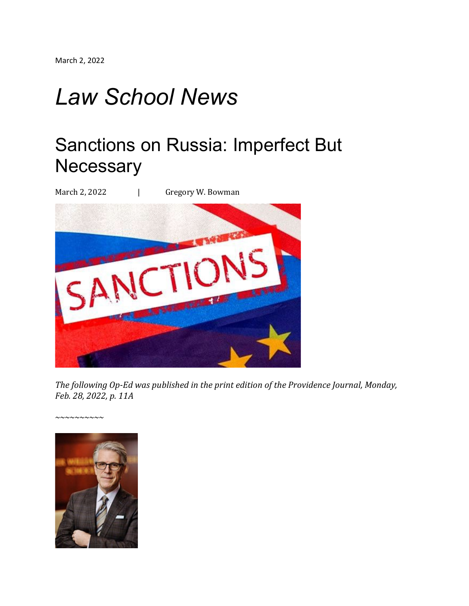## *Law School News*

## Sanctions on Russia: Imperfect But **Necessary**

March 2, 2022 | Gregory W. Bowman



*The following Op-Ed was published in the print edition of the Providence Journal, Monday, Feb. 28, 2022, p. 11A*

*~~~~~~~~~~*

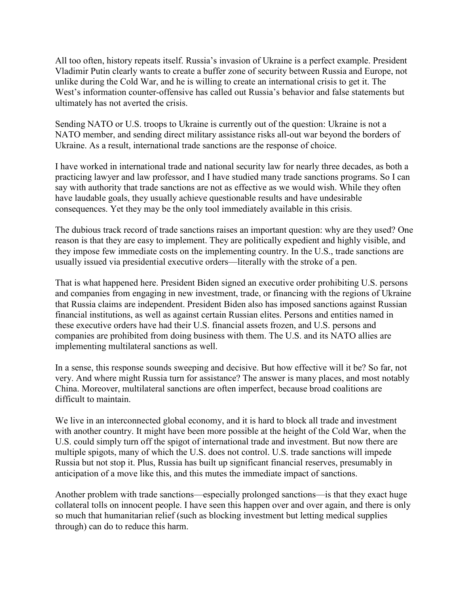All too often, history repeats itself. Russia's invasion of Ukraine is a perfect example. President Vladimir Putin clearly wants to create a buffer zone of security between Russia and Europe, not unlike during the Cold War, and he is willing to create an international crisis to get it. The West's information counter-offensive has called out Russia's behavior and false statements but ultimately has not averted the crisis.

Sending NATO or U.S. troops to Ukraine is currently out of the question: Ukraine is not a NATO member, and sending direct military assistance risks all-out war beyond the borders of Ukraine. As a result, international trade sanctions are the response of choice.

I have worked in international trade and national security law for nearly three decades, as both a practicing lawyer and law professor, and I have studied many trade sanctions programs. So I can say with authority that trade sanctions are not as effective as we would wish. While they often have laudable goals, they usually achieve questionable results and have undesirable consequences. Yet they may be the only tool immediately available in this crisis.

The dubious track record of trade sanctions raises an important question: why are they used? One reason is that they are easy to implement. They are politically expedient and highly visible, and they impose few immediate costs on the implementing country. In the U.S., trade sanctions are usually issued via presidential executive orders—literally with the stroke of a pen.

That is what happened here. President Biden signed an executive order prohibiting U.S. persons and companies from engaging in new investment, trade, or financing with the regions of Ukraine that Russia claims are independent. President Biden also has imposed sanctions against Russian financial institutions, as well as against certain Russian elites. Persons and entities named in these executive orders have had their U.S. financial assets frozen, and U.S. persons and companies are prohibited from doing business with them. The U.S. and its NATO allies are implementing multilateral sanctions as well.

In a sense, this response sounds sweeping and decisive. But how effective will it be? So far, not very. And where might Russia turn for assistance? The answer is many places, and most notably China. Moreover, multilateral sanctions are often imperfect, because broad coalitions are difficult to maintain.

We live in an interconnected global economy, and it is hard to block all trade and investment with another country. It might have been more possible at the height of the Cold War, when the U.S. could simply turn off the spigot of international trade and investment. But now there are multiple spigots, many of which the U.S. does not control. U.S. trade sanctions will impede Russia but not stop it. Plus, Russia has built up significant financial reserves, presumably in anticipation of a move like this, and this mutes the immediate impact of sanctions.

Another problem with trade sanctions—especially prolonged sanctions—is that they exact huge collateral tolls on innocent people. I have seen this happen over and over again, and there is only so much that humanitarian relief (such as blocking investment but letting medical supplies through) can do to reduce this harm.